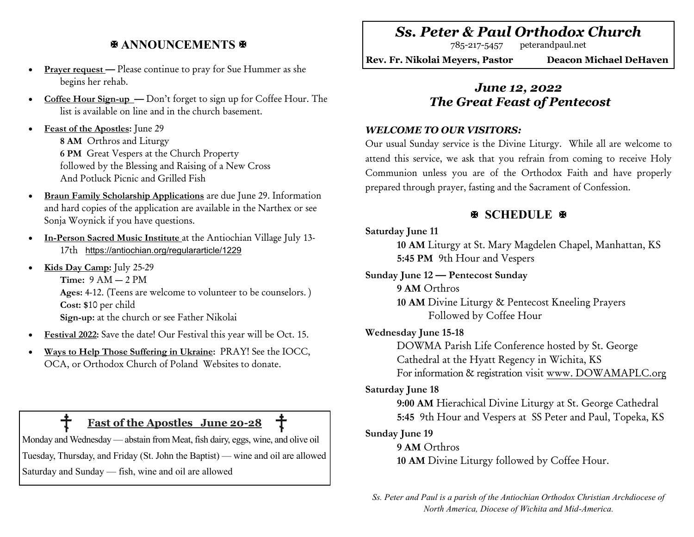# **ANNOUNCEMENTS &**

- **Prayer request** Please continue to pray for Sue Hummer as she begins her rehab.
- **Coffee Hour Sign-up —** Don't forget to sign up for Coffee Hour. The list is available on line and in the church basement.
- **Feast of the Apostles:** June 29 **8 AM** Orthros and Liturgy **6 PM** Great Vespers at the Church Property followed by the Blessing and Raising of a New Cross And Potluck Picnic and Grilled Fish
- **Braun Family Scholarship Applications** are due June 29. Information and hard copies of the application are available in the Narthex or see Sonja Woynick if you have questions.
- **In-Person Sacred Music Institute** at the Antiochian Village July 13- 17th <https://antiochian.org/regulararticle/1229>
- **Kids Day Camp:** July 25-29 **Time:** 9 AM — 2 PM **Ages:** 4-12. (Teens are welcome to volunteer to be counselors. ) **Cost: \$**10 per child **Sign-up:** at the church or see Father Nikolai
- **Festival 2022:** Save the date! Our Festival this year will be Oct. 15.
- **Ways to Help Those Suffering in Ukraine:** PRAY! See the IOCC, OCA, or Orthodox Church of Poland Websites to donate.

# **Fast of the Apostles June 20-28**

Monday and Wednesday — abstain from Meat, fish dairy, eggs, wine, and olive oil Tuesday, Thursday, and Friday (St. John the Baptist) — wine and oil are allowed Saturday and Sunday — fish, wine and oil are allowed

# *Ss. Peter & Paul Orthodox Church*

785-217-5457 peterandpaul.net

**Rev. Fr. Nikolai Meyers, Pastor Deacon Michael DeHaven** 

# *June 12, 2022 The Great Feast of Pentecost*

### *WELCOME TO OUR VISITORS:*

Our usual Sunday service is the Divine Liturgy. While all are welcome to attend this service, we ask that you refrain from coming to receive Holy Communion unless you are of the Orthodox Faith and have properly prepared through prayer, fasting and the Sacrament of Confession.

# **SCHEDULE**

### **Saturday June 11**

**10 AM** Liturgy at St. Mary Magdelen Chapel, Manhattan, KS **5:45 PM** 9th Hour and Vespers

#### **Sunday June 12 — Pentecost Sunday**

**9 AM** Orthros

**10 AM** Divine Liturgy & Pentecost Kneeling Prayers Followed by Coffee Hour

## **Wednesday June 15-18**

DOWMA Parish Life Conference hosted by St. George Cathedral at the Hyatt Regency in Wichita, KS For information & registration visit www. DOWAMAPLC.org

## **Saturday June 18**

**9:00 AM** Hierachical Divine Liturgy at St. George Cathedral **5:45** 9th Hour and Vespers at SS Peter and Paul, Topeka, KS

## **Sunday June 19**

#### **9 AM** Orthros

**10 AM** Divine Liturgy followed by Coffee Hour.

*Ss. Peter and Paul is a parish of the Antiochian Orthodox Christian Archdiocese of North America, Diocese of Wichita and Mid-America.*